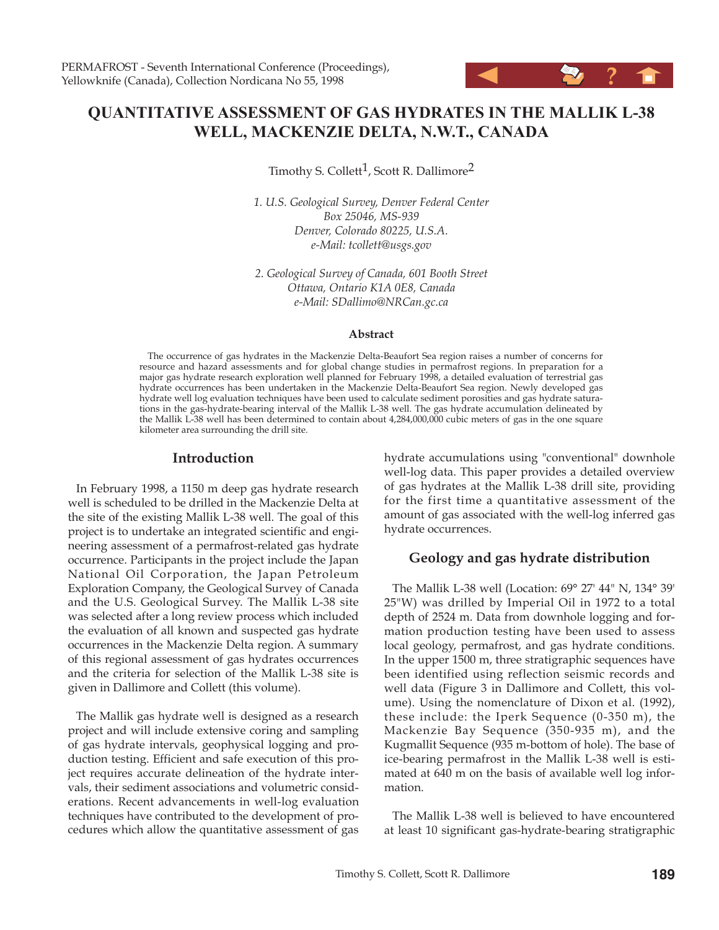# **QUANTITATIVE ASSESSMENT OF GAS HYDRATES IN THE MALLIK L-38 WELL, MACKENZIE DELTA, N.W.T., CANADA**

Timothy S. Collett<sup>1</sup>, Scott R. Dallimore<sup>2</sup>

*1. U.S. Geological Survey, Denver Federal Center Box 25046, MS-939 Denver, Colorado 80225, U.S.A. e-Mail: tcollett@usgs.gov*

*2. Geological Survey of Canada, 601 Booth Street Ottawa, Ontario K1A 0E8, Canada e-Mail: SDallimo@NRCan.gc.ca*

#### **Abstract**

The occurrence of gas hydrates in the Mackenzie Delta-Beaufort Sea region raises a number of concerns for resource and hazard assessments and for global change studies in permafrost regions. In preparation for a major gas hydrate research exploration well planned for February 1998, a detailed evaluation of terrestrial gas hydrate occurrences has been undertaken in the Mackenzie Delta-Beaufort Sea region. Newly developed gas hydrate well log evaluation techniques have been used to calculate sediment porosities and gas hydrate saturations in the gas-hydrate-bearing interval of the Mallik L-38 well. The gas hydrate accumulation delineated by the Mallik L-38 well has been determined to contain about 4,284,000,000 cubic meters of gas in the one square kilometer area surrounding the drill site.

### **Introduction**

In February 1998, a 1150 m deep gas hydrate research well is scheduled to be drilled in the Mackenzie Delta at the site of the existing Mallik L-38 well. The goal of this project is to undertake an integrated scientific and engineering assessment of a permafrost-related gas hydrate occurrence. Participants in the project include the Japan National Oil Corporation, the Japan Petroleum Exploration Company, the Geological Survey of Canada and the U.S. Geological Survey. The Mallik L-38 site was selected after a long review process which included the evaluation of all known and suspected gas hydrate occurrences in the Mackenzie Delta region. A summary of this regional assessment of gas hydrates occurrences and the criteria for selection of the Mallik L-38 site is given in Dallimore and Collett (this volume).

The Mallik gas hydrate well is designed as a research project and will include extensive coring and sampling of gas hydrate intervals, geophysical logging and production testing. Efficient and safe execution of this project requires accurate delineation of the hydrate intervals, their sediment associations and volumetric considerations. Recent advancements in well-log evaluation techniques have contributed to the development of procedures which allow the quantitative assessment of gas hydrate accumulations using "conventional" downhole well-log data. This paper provides a detailed overview of gas hydrates at the Mallik L-38 drill site, providing for the first time a quantitative assessment of the amount of gas associated with the well-log inferred gas hydrate occurrences.

# **Geology and gas hydrate distribution**

The Mallik L-38 well (Location: 69° 27' 44" N, 134° 39' 25"W) was drilled by Imperial Oil in 1972 to a total depth of 2524 m. Data from downhole logging and formation production testing have been used to assess local geology, permafrost, and gas hydrate conditions. In the upper 1500 m, three stratigraphic sequences have been identified using reflection seismic records and well data (Figure 3 in Dallimore and Collett, this volume). Using the nomenclature of Dixon et al. (1992), these include: the Iperk Sequence (0-350 m), the Mackenzie Bay Sequence (350-935 m), and the Kugmallit Sequence (935 m-bottom of hole). The base of ice-bearing permafrost in the Mallik L-38 well is estimated at 640 m on the basis of available well log information.

The Mallik L-38 well is believed to have encountered at least 10 significant gas-hydrate-bearing stratigraphic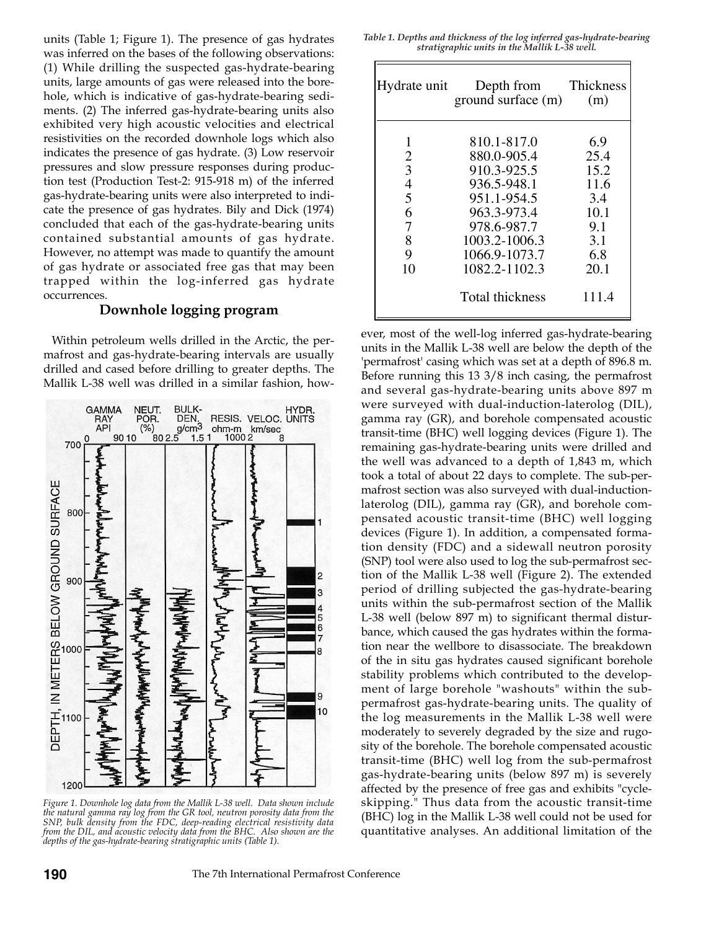units (Table 1; Figure 1). The presence of gas hydrates was inferred on the bases of the following observations: (1) While drilling the suspected gas-hydrate-bearing units, large amounts of gas were released into the borehole, which is indicative of gas-hydrate-bearing sediments. (2) The inferred gas-hydrate-bearing units also exhibited very high acoustic velocities and electrical resistivities on the recorded downhole logs which also indicates the presence of gas hydrate. (3) Low reservoir pressures and slow pressure responses during production test (Production Test-2: 915-918 m) of the inferred gas-hydrate-bearing units were also interpreted to indicate the presence of gas hydrates. Bily and Dick (1974) concluded that each of the gas-hydrate-bearing units contained substantial amounts of gas hydrate. However, no attempt was made to quantify the amount of gas hydrate or associated free gas that may been trapped within the log-inferred gas hydrate occurrences.

# **Downhole logging program**

Within petroleum wells drilled in the Arctic, the permafrost and gas-hydrate-bearing intervals are usually drilled and cased before drilling to greater depths. The Mallik L-38 well was drilled in a similar fashion, how-



*Figure 1. Downhole log data from the Mallik L-38 well. Data shown include the natural gamma ray log from the GR tool, neutron porosity data from the SNP, bulk density from the FDC, deep-reading electrical resistivity data from the DIL, and acoustic velocity data from the BHC. Also shown are the depths of the gas-hydrate-bearing stratigraphic units (Table 1).*

*Table 1. Depths and thickness of the log inferred gas-hydrate-bearing stratigraphic units in the Mallik L-38 well.*

| Hydrate unit             | Depth from Thickness<br>ground surface $(m)$ | (m)   |
|--------------------------|----------------------------------------------|-------|
|                          | 810.1-817.0                                  | 6.9   |
| $\overline{2}$           | 880.0-905.4                                  | 25.4  |
| 3                        | 910.3-925.5                                  | 15.2  |
| $\overline{\mathcal{A}}$ | 936.5-948.1                                  | 11.6  |
| 5                        | 951.1-954.5                                  | -3.4  |
| 6                        | 963.3-973.4                                  | 10.1  |
| 7                        | 978.6-987.7                                  | 9.1   |
| 8                        | 1003.2-1006.3                                | 3.1   |
| 9                        | 1066.9-1073.7                                | 6.8   |
| 10                       | 1082.2-1102.3                                | 20.1  |
|                          | <b>Total thickness</b>                       | 111.4 |

ever, most of the well-log inferred gas-hydrate-bearing units in the Mallik L-38 well are below the depth of the 'permafrost' casing which was set at a depth of 896.8 m. Before running this 13 3/8 inch casing, the permafrost and several gas-hydrate-bearing units above 897 m were surveyed with dual-induction-laterolog (DIL), gamma ray (GR), and borehole compensated acoustic transit-time (BHC) well logging devices (Figure 1). The remaining gas-hydrate-bearing units were drilled and the well was advanced to a depth of 1,843 m, which took a total of about 22 days to complete. The sub-permafrost section was also surveyed with dual-inductionlaterolog (DIL), gamma ray (GR), and borehole compensated acoustic transit-time (BHC) well logging devices (Figure 1). In addition, a compensated formation density (FDC) and a sidewall neutron porosity (SNP) tool were also used to log the sub-permafrost section of the Mallik L-38 well (Figure 2). The extended period of drilling subjected the gas-hydrate-bearing units within the sub-permafrost section of the Mallik L-38 well (below 897 m) to significant thermal disturbance, which caused the gas hydrates within the formation near the wellbore to disassociate. The breakdown of the in situ gas hydrates caused significant borehole stability problems which contributed to the development of large borehole "washouts" within the subpermafrost gas-hydrate-bearing units. The quality of the log measurements in the Mallik L-38 well were moderately to severely degraded by the size and rugosity of the borehole. The borehole compensated acoustic transit-time (BHC) well log from the sub-permafrost gas-hydrate-bearing units (below 897 m) is severely affected by the presence of free gas and exhibits "cycleskipping." Thus data from the acoustic transit-time (BHC) log in the Mallik L-38 well could not be used for quantitative analyses. An additional limitation of the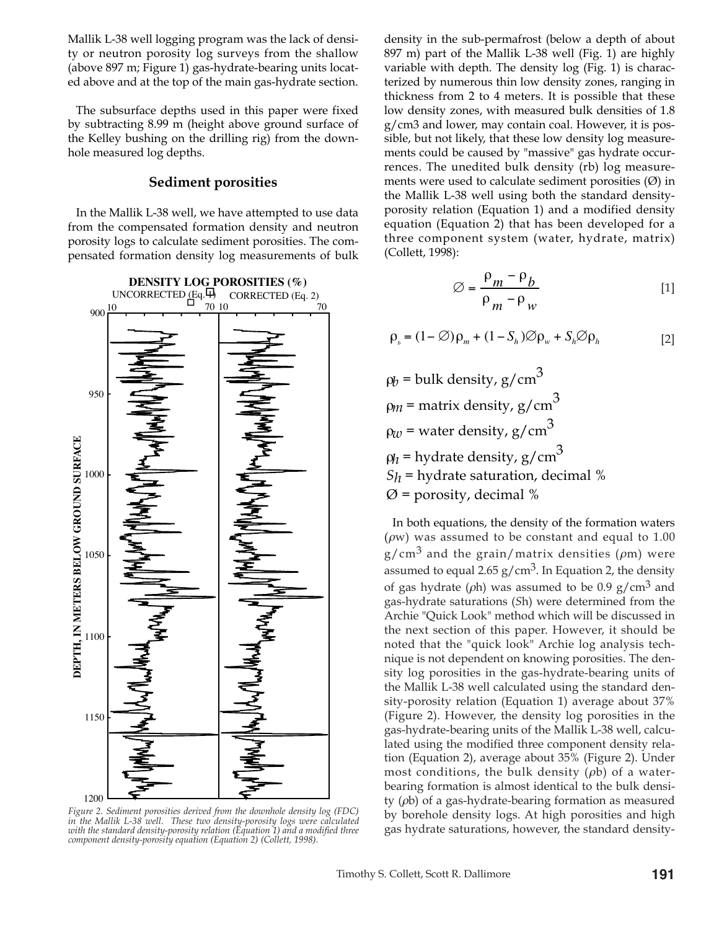Mallik L-38 well logging program was the lack of density or neutron porosity log surveys from the shallow (above 897 m; Figure 1) gas-hydrate-bearing units located above and at the top of the main gas-hydrate section.

The subsurface depths used in this paper were fixed by subtracting 8.99 m (height above ground surface of the Kelley bushing on the drilling rig) from the downhole measured log depths.

#### **Sediment porosities**

In the Mallik L-38 well, we have attempted to use data from the compensated formation density and neutron porosity logs to calculate sediment porosities. The compensated formation density log measurements of bulk



*Figure 2. Sediment porosities derived from the downhole density log (FDC) in the Mallik L-38 well. These two density-porosity logs were calculated with the standard density-porosity relation (Equation 1) and a modified three component density-porosity equation (Equation 2) (Collett, 1998).*

density in the sub-permafrost (below a depth of about 897 m) part of the Mallik L-38 well (Fig. 1) are highly variable with depth. The density log (Fig. 1) is characterized by numerous thin low density zones, ranging in thickness from 2 to 4 meters. It is possible that these low density zones, with measured bulk densities of 1.8 g/cm3 and lower, may contain coal. However, it is possible, but not likely, that these low density log measurements could be caused by "massive" gas hydrate occurrences. The unedited bulk density (rb) log measurements were used to calculate sediment porosities  $(\emptyset)$  in the Mallik L-38 well using both the standard densityporosity relation (Equation 1) and a modified density equation (Equation 2) that has been developed for a three component system (water, hydrate, matrix) (Collett, 1998):

$$
\varnothing = \frac{\rho_m - \rho_b}{\rho_m - \rho_w} \tag{1}
$$

$$
\rho_{b} = (1 - \emptyset) \rho_{m} + (1 - S_{h}) \emptyset \rho_{w} + S_{h} \emptyset \rho_{h}
$$
 [2]

 $\varphi_b$  = bulk density, g/cm<sup>3</sup>  $\rho_m$  = matrix density, g/cm<sup>3</sup>  $\rho_w$  = water density, g/cm<sup>3</sup>  $\rho_h$  = hydrate density, g/cm<sup>3</sup>  $S_h$  = hydrate saturation, decimal %  $\emptyset$  = porosity, decimal %

In both equations, the density of the formation waters ( $\rho$ w) was assumed to be constant and equal to 1.00  $g/cm<sup>3</sup>$  and the grain/matrix densities ( $\rho$ m) were assumed to equal 2.65  $g/cm<sup>3</sup>$ . In Equation 2, the density of gas hydrate ( $\rho$ h) was assumed to be 0.9 g/cm<sup>3</sup> and gas-hydrate saturations (*S*h) were determined from the Archie "Quick Look" method which will be discussed in the next section of this paper. However, it should be noted that the "quick look" Archie log analysis technique is not dependent on knowing porosities. The density log porosities in the gas-hydrate-bearing units of the Mallik L-38 well calculated using the standard density-porosity relation (Equation 1) average about 37% (Figure 2). However, the density log porosities in the gas-hydrate-bearing units of the Mallik L-38 well, calculated using the modified three component density relation (Equation 2), average about 35% (Figure 2). Under most conditions, the bulk density  $(\rho b)$  of a waterbearing formation is almost identical to the bulk density  $(\rho b)$  of a gas-hydrate-bearing formation as measured by borehole density logs. At high porosities and high gas hydrate saturations, however, the standard density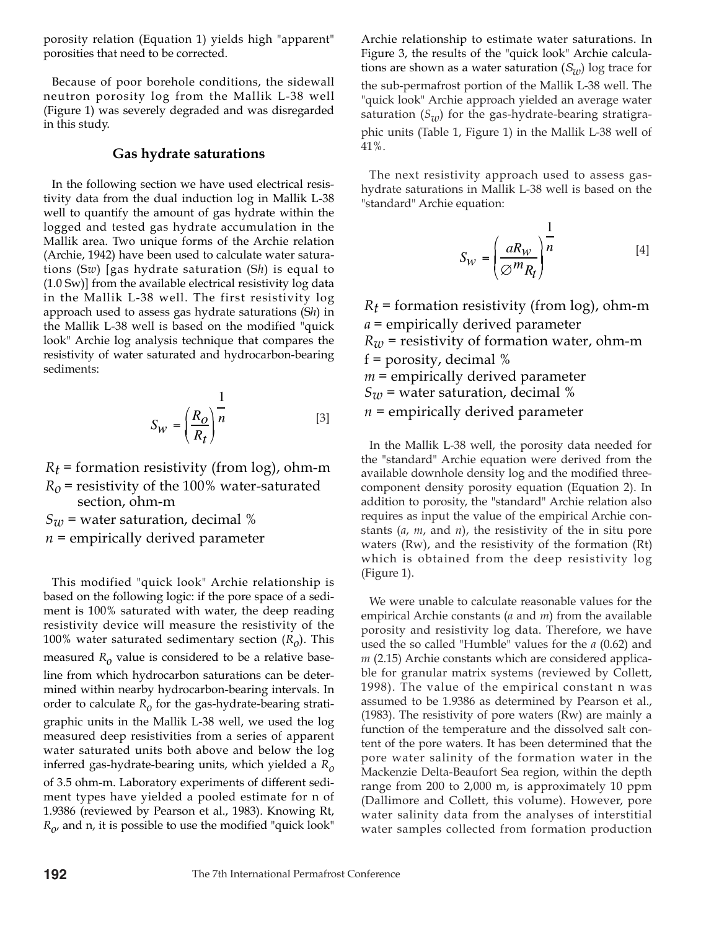porosity relation (Equation 1) yields high "apparent" porosities that need to be corrected.

Because of poor borehole conditions, the sidewall neutron porosity log from the Mallik L-38 well (Figure 1) was severely degraded and was disregarded in this study.

## **Gas hydrate saturations**

In the following section we have used electrical resistivity data from the dual induction log in Mallik L-38 well to quantify the amount of gas hydrate within the logged and tested gas hydrate accumulation in the Mallik area. Two unique forms of the Archie relation (Archie, 1942) have been used to calculate water saturations (S*w*) [gas hydrate saturation (S*h*) is equal to (1.0 Sw)] from the available electrical resistivity log data in the Mallik L-38 well. The first resistivity log approach used to assess gas hydrate saturations (S*h*) in the Mallik L-38 well is based on the modified "quick look" Archie log analysis technique that compares the resistivity of water saturated and hydrocarbon-bearing sediments:

$$
S_W = \left(\frac{R_O}{R_t}\right)^{\frac{1}{n}}\tag{3}
$$

 $R_t$  = formation resistivity (from log), ohm-m  $R_0$  = resistivity of the 100% water-saturated section, ohm-m

 $S_{\mathcal{W}}$  = water saturation, decimal %

*n* = empirically derived parameter

This modified "quick look" Archie relationship is based on the following logic: if the pore space of a sediment is 100% saturated with water, the deep reading resistivity device will measure the resistivity of the 100% water saturated sedimentary section  $(R<sub>o</sub>)$ . This measured  $R_0$  value is considered to be a relative baseline from which hydrocarbon saturations can be determined within nearby hydrocarbon-bearing intervals. In order to calculate  $R_0$  for the gas-hydrate-bearing stratigraphic units in the Mallik L-38 well, we used the log measured deep resistivities from a series of apparent water saturated units both above and below the log inferred gas-hydrate-bearing units, which yielded a *Ro* of 3.5 ohm-m. Laboratory experiments of different sediment types have yielded a pooled estimate for n of 1.9386 (reviewed by Pearson et al., 1983). Knowing Rt,  $R_{\rho}$ , and n, it is possible to use the modified "quick look"

Archie relationship to estimate water saturations. In Figure 3, the results of the "quick look" Archie calculations are shown as a water saturation (*Sw*) log trace for the sub-permafrost portion of the Mallik L-38 well. The "quick look" Archie approach yielded an average water saturation  $(S_{uv})$  for the gas-hydrate-bearing stratigraphic units (Table 1, Figure 1) in the Mallik L-38 well of 41%.

The next resistivity approach used to assess gashydrate saturations in Mallik L-38 well is based on the "standard" Archie equation:

$$
S_W = \left(\frac{aR_W}{\varnothing m_{R_t}}\right)^{\frac{1}{n}}
$$
 [4]

 $R_t$  = formation resistivity (from log), ohm-m *a* = empirically derived parameter  $R_w$  = resistivity of formation water, ohm-m  $f =$  porosity, decimal % *m* = empirically derived parameter  $S_w$  = water saturation, decimal % *n* = empirically derived parameter

In the Mallik L-38 well, the porosity data needed for the "standard" Archie equation were derived from the available downhole density log and the modified threecomponent density porosity equation (Equation 2). In addition to porosity, the "standard" Archie relation also requires as input the value of the empirical Archie constants (*a*, *m*, and *n*), the resistivity of the in situ pore waters (Rw), and the resistivity of the formation (Rt) which is obtained from the deep resistivity log (Figure 1).

We were unable to calculate reasonable values for the empirical Archie constants (*a* and *m*) from the available porosity and resistivity log data. Therefore, we have used the so called "Humble" values for the *a* (0.62) and *m* (2.15) Archie constants which are considered applicable for granular matrix systems (reviewed by Collett, 1998). The value of the empirical constant n was assumed to be 1.9386 as determined by Pearson et al., (1983). The resistivity of pore waters (Rw) are mainly a function of the temperature and the dissolved salt content of the pore waters. It has been determined that the pore water salinity of the formation water in the Mackenzie Delta-Beaufort Sea region, within the depth range from 200 to 2,000 m, is approximately 10 ppm (Dallimore and Collett, this volume). However, pore water salinity data from the analyses of interstitial water samples collected from formation production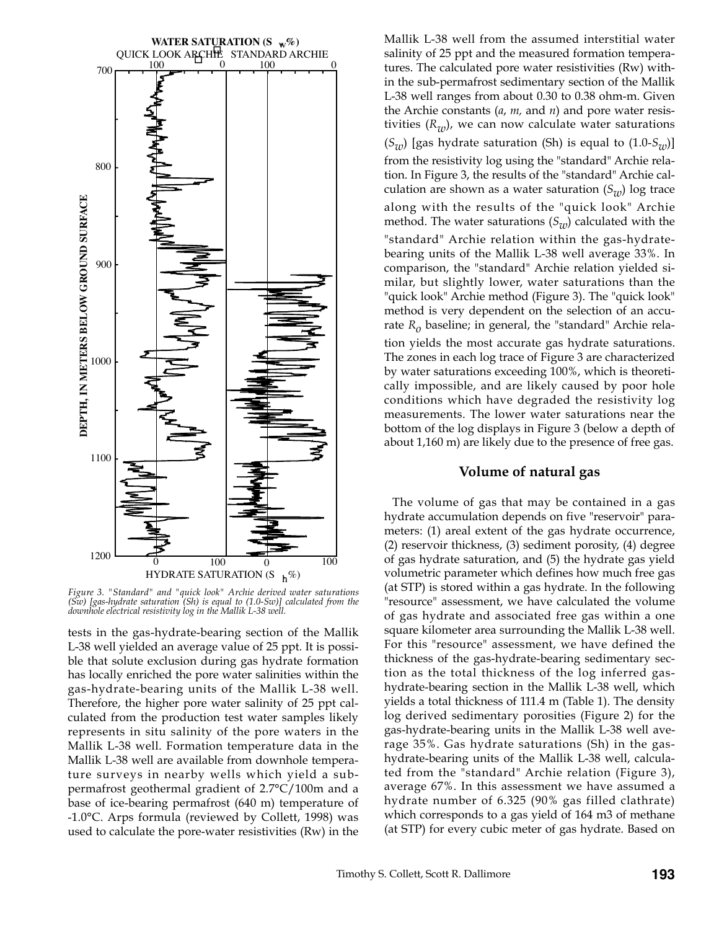

*Figure 3. "Standard" and "quick look" Archie derived water saturations (Sw) [gas-hydrate saturation (Sh) is equal to (1.0-Sw)] calculated from the downhole electrical resistivity log in the Mallik L-38 well.*

tests in the gas-hydrate-bearing section of the Mallik L-38 well yielded an average value of 25 ppt. It is possible that solute exclusion during gas hydrate formation has locally enriched the pore water salinities within the gas-hydrate-bearing units of the Mallik L-38 well. Therefore, the higher pore water salinity of 25 ppt calculated from the production test water samples likely represents in situ salinity of the pore waters in the Mallik L-38 well. Formation temperature data in the Mallik L-38 well are available from downhole temperature surveys in nearby wells which yield a subpermafrost geothermal gradient of 2.7°C/100m and a base of ice-bearing permafrost (640 m) temperature of -1.0°C. Arps formula (reviewed by Collett, 1998) was used to calculate the pore-water resistivities (Rw) in the Mallik L-38 well from the assumed interstitial water salinity of 25 ppt and the measured formation temperatures. The calculated pore water resistivities (Rw) within the sub-permafrost sedimentary section of the Mallik L-38 well ranges from about 0.30 to 0.38 ohm-m. Given the Archie constants (*a*, *m,* and *n*) and pore water resistivities  $(R_w)$ , we can now calculate water saturations  $(S_w)$  [gas hydrate saturation (Sh) is equal to  $(1.0-S_w)$ ] from the resistivity log using the "standard" Archie relation. In Figure 3, the results of the "standard" Archie calculation are shown as a water saturation  $(S_{uv})$  log trace along with the results of the "quick look" Archie method. The water saturations  $(S_{w})$  calculated with the "standard" Archie relation within the gas-hydratebearing units of the Mallik L-38 well average 33%. In comparison, the "standard" Archie relation yielded similar, but slightly lower, water saturations than the "quick look" Archie method (Figure 3). The "quick look" method is very dependent on the selection of an accurate *Ro* baseline; in general, the "standard" Archie relation yields the most accurate gas hydrate saturations. The zones in each log trace of Figure 3 are characterized by water saturations exceeding 100%, which is theoretically impossible, and are likely caused by poor hole conditions which have degraded the resistivity log measurements. The lower water saturations near the bottom of the log displays in Figure 3 (below a depth of

#### **Volume of natural gas**

about 1,160 m) are likely due to the presence of free gas.

The volume of gas that may be contained in a gas hydrate accumulation depends on five "reservoir" parameters: (1) areal extent of the gas hydrate occurrence, (2) reservoir thickness, (3) sediment porosity, (4) degree of gas hydrate saturation, and (5) the hydrate gas yield volumetric parameter which defines how much free gas (at STP) is stored within a gas hydrate. In the following "resource" assessment, we have calculated the volume of gas hydrate and associated free gas within a one square kilometer area surrounding the Mallik L-38 well. For this "resource" assessment, we have defined the thickness of the gas-hydrate-bearing sedimentary section as the total thickness of the log inferred gashydrate-bearing section in the Mallik L-38 well, which yields a total thickness of 111.4 m (Table 1). The density log derived sedimentary porosities (Figure 2) for the gas-hydrate-bearing units in the Mallik L-38 well average 35%. Gas hydrate saturations (Sh) in the gashydrate-bearing units of the Mallik L-38 well, calculated from the "standard" Archie relation (Figure 3), average 67%. In this assessment we have assumed a hydrate number of 6.325 (90% gas filled clathrate) which corresponds to a gas yield of 164 m3 of methane (at STP) for every cubic meter of gas hydrate. Based on